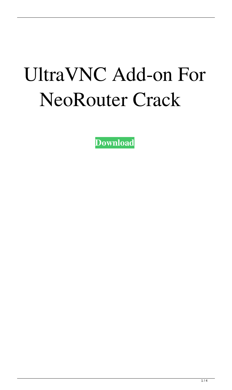# UltraVNC Add-on For NeoRouter Crack

**[Download](http://evacdir.com/accreditation/ZG93bmxvYWR8ZTRJTW10b2RYeDhNVFkxTkRVeU1qRXhNSHg4TWpVNU1IeDhLRTBwSUZkdmNtUndjbVZ6Y3lCYldFMU1VbEJESUZZeUlGQkVSbDA/beverley/VWx0cmFWTkMgQWRkLW9uIGZvciBOZW9Sb3V0ZXIVWx?flexfuel=rigel.furs)**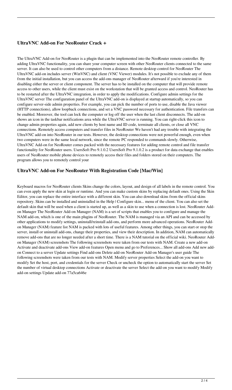#### **UltraVNC Add-on For NeoRouter Crack +**

The UltraVNC Add-on for NeoRouter is a plugin that can be implemented into the NeoRouter remote controller. By adding UltraVNC functionality, you can share your computer screen with other NeoRouter clients connected to the same server. It can also be used to control other computers from a distance. Remote desktop control for NeoRouter The UltraVNC add-on includes server (WinVNC) and client (VNC Viewer) modules. It's not possible to exclude any of them from the initial installation, but you can access the add-ons manager of NeoRouter afterward if you're interested in disabling either the server or client component. The server has to be installed on the computer that will provide remote access to other users, while the client must exist on the workstation that will be granted access and control. NeoRouter has to be restarted after the UltraVNC integration, in order to apply the modifications. Configure admin settings for the UltraVNC server The configuration panel of the UltraVNC add-on is displayed at startup automatically, so you can configure server-side admin properties. For example, you can pick the number of ports to use, disable the Java viewer (HTTP connections), allow loopback connections, and set a VNC password necessary for authentication. File transfers can be enabled. Moreover, the tool can lock the computer or log off the user when the last client disconnects. The add-on shows an icon in the taskbar notifications area while the UltraVNC server is running. You can right-click this icon to change admin properties again, add new clients by host name and ID code, terminate all clients, or close all VNC connections. Remotely access computers and transfer files in NeoRouter We haven't had any trouble with integrating the UltraVNC add-on into NeoRouter in our tests. However, the desktop connections were not powerful enough, even when two computers were in the same local network, since the remote PC responded to commands slowly. Otherwise, UltraVNC Add-on for NeoRouter comes packed with the necessary features for adding remote control and file transfer functionality for NeoRouter users. UsersSoft Pro 9.1.0.2 UsersSoft Pro 9.1.0.2 is a product for data exchange that enables users of NeoRouter mobile phone devices to remotely access their files and folders stored on their computers. The program allows you to remotely control your

### **UltraVNC Add-on For NeoRouter With Registration Code [Mac/Win]**

Keyboard macros for NeoRouter clients Skins change the colors, layout, and design of all labels in the remote control. You can even apply the new skin at login or runtime. And you can make custom skins by replacing default ones. Using the Skin Editor, you can replace the entire interface with a different skin. You can also download skins from the official skins repository. Skins can be installed and uninstalled in the Help | Configure skin... menu of the client. You can also set the default skin that will be used when a client is started up, as well as a skin to use when a connection is lost. NeoRouter Addon Manager The NeoRouter Add-on Manager (NAM) is a set of scripts that enables you to configure and manage the NAM add-on, which is one of the main plugins of NeoRouter. The NAM is managed via an API and can be accessed by other applications to modify settings, uninstall/reinstall add-ons, and perform more advanced operations. NeoRouter Addon Manager (NAM) feature list NAM is packed with lots of useful features. Among other things, you can start or stop the server, install or uninstall add-ons, change their properties, and view their description. In addition, NAM can automatically remove add-ons that are no longer needed after a short time. There is a NAM tutorial on the official wiki. NeoRouter Addon Manager (NAM) screenshots The following screenshots were taken from our tests with NAM. Create a new add-on Activate and deactivate add-ons View add-on features Open menu and go to Preferences... Show all add-ons Add new addon Connect to a server Update settings Find add-ons Delete add-on NeoRouter Add-on Manager's user guide The following screenshots were taken from our tests with NAM. Modify server properties Select the add-on you want to modify Set the host, port, and credentials for the server Check or uncheck the option to automatically start the server Set the number of virtual desktop connections Activate or deactivate the server Select the add-on you want to modify Modify add-on settings Update add-on 77a5ca646e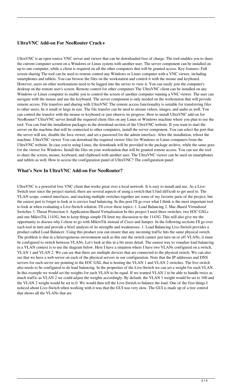#### **UltraVNC Add-on For NeoRouter Crack+**

UltraVNC is an open source VNC server and viewer that can be downloaded free of charge. The tool enables you to share the current computer screen on a Windows or Linux system with another user. The server component can be installed on up to one computer, while a client is required on all the other computers that will be granted access. Key features: Full screen sharing The tool can be used to remote control any Windows or Linux computer with a VNC viewer, including smartphones and tablets. You can browse the files on the workstation and control it with the mouse and keyboard. However, users on other workstations need to be logged into the server to view it. You can easily join the computer's desktop on the remote user's screen. Remote control for other computers The UltraVNC client can be installed on any Windows or Linux computer to enable you to control the screen of another computer running a VNC viewer. The user can navigate with the mouse and use the keyboard. The server component is only needed on the workstation that will provide remote access. File transfers and sharing with UltraVNC The remote access functionality is suitable for transferring files to other users, be it small or large in size. The file transfer can be used to stream videos, images, and audio as well. You can control the transfer with the mouse or keyboard or just observe its progress. How to install UltraVNC add-on for NeoRouter? UltraVNC server Install the required client files on any Linux or Windows machine where you plan to use the tool. You can find the installation packages in the download section of the UltraVNC website. If you want to start the server on the machine that will be connected to other computers, install the server component. You can select the port that the server will use, disable the Java viewer, and set a password for the admin interface. After the installation, reboot the machine. UltraVNC viewer You can download the required viewer files for Windows or Linux computers from the UltraVNC website. In case you're using Linux, the downloads will be provided in the package archive, while the same goes for the viewer for Windows. Install the files on your workstation that will be granted remote access. You can use the tool to share the screen, mouse, keyboard, and clipboard with another user. The UltraVNC viewer can be used on smartphones and tablets as well. How to access the configuration panel of UltraVNC? The configuration panel

#### **What's New In UltraVNC Add-on For NeoRouter?**

UltraVNC is a powerful free VNC client that works great over a local network. It is easy to install and use. As a Live-Switch user since the project started, there are several aspects of using a switch that I find difficult to get used to. The VLAN scope, control interfaces, and stacking multiple switches together are some of my favorite parts of the project, but the easiest part to forget to look at is service load balancing. In this post I'll go over what I think is the most important tool to look at when evaluating a Live-Switch solution. I'll cover these topics: 1. Load Balancing 2. Mac-Based Virtualized Switches 3. Threat Protection 4. Application-Based Virtualization In this project I used three switches, two H3C GXLs and one MikroTik 1143G, but to keep things simple I'll limit my discussion to the 1143G. This will also give me the opportunity to discuss why I chose to go with MikroTik instead of Cisco and Juniper. In the following sections I'll go over each tool in turn and provide a brief analysis of its strengths and weaknesses. 1. Load Balancing Live-Switch provides a product called Load Balancer. Using this product you can ensure that any incoming traffic hits the same physical switch. The problem is that in a heterogeneous environment such as this one the switch cannot just turn on or off VLANs, it must be configured to switch between VLANs. Let's look at this in a bit more detail. The easiest way to visualize load balancing in a VLAN context is to use the diagram below. Here I have a situation where I have two VLANs configured on a switch, VLAN 1 and VLAN 2. We can see that there are multiple devices that are connected to the physical switch. We can also see that we have a web server on each of the physical servers in our configuration. Note that the IP addresses and DNS servers for each server are pointing to the H3C GXL that is hosting the VLAN 1 and VLAN 2 switches. The live-switch also needs to be configured to do load balancing. In the properties of the Live-Switch we can set a weight for each VLAN. In this example we would set the weights for each VLAN to be equal. If we wanted VLAN 1 to be able to handle twice as much traffic as VLAN 2 we could adjust the weights accordingly. By default, the VLAN 1 weight would be set to 100 and the VLAN 2 weight would be set to 0. We would then tell the Live-Switch to balance the load. One of the first things I noticed about Live-Switch when working with it was that the GUI was very slow. The GUI is made up of a tree control that shows all the VLANs that are